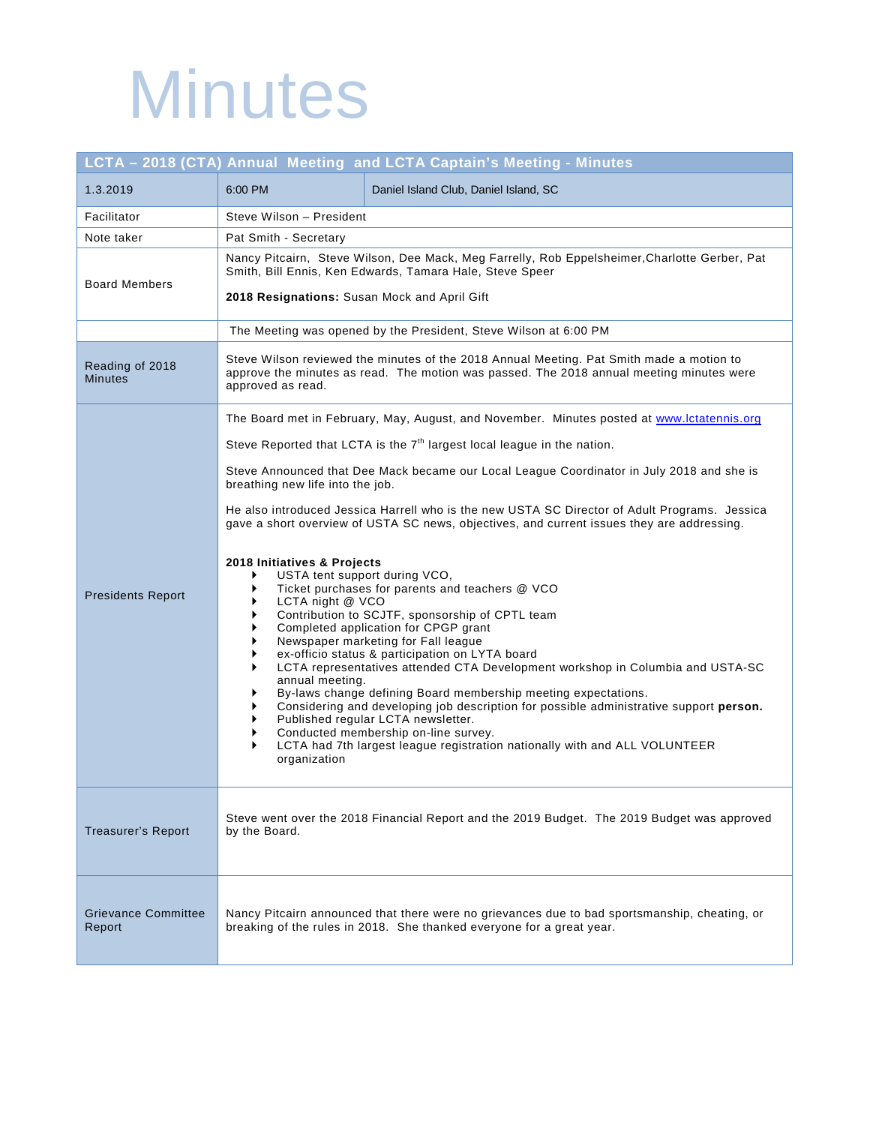## **Minutes**

## **LCTA – 2018 (CTA) Annual Meeting and LCTA Captain's Meeting - Minutes** 1.3.2019 6:00 PM Daniel Island Club, Daniel Island, SC Facilitator | Steve Wilson – President Note taker | Pat Smith - Secretary Board Members Nancy Pitcairn, Steve Wilson, Dee Mack, Meg Farrelly, Rob Eppelsheimer,Charlotte Gerber, Pat Smith, Bill Ennis, Ken Edwards, Tamara Hale, Steve Speer **2018 Resignations:** Susan Mock and April Gift

|                                      | 2018 Resignations: Susan Mock and April Gift                                                                                                                                                                                                                                                                                                                                                                                                                                                                                                                                                                                                                                                                                                                          |
|--------------------------------------|-----------------------------------------------------------------------------------------------------------------------------------------------------------------------------------------------------------------------------------------------------------------------------------------------------------------------------------------------------------------------------------------------------------------------------------------------------------------------------------------------------------------------------------------------------------------------------------------------------------------------------------------------------------------------------------------------------------------------------------------------------------------------|
|                                      | The Meeting was opened by the President, Steve Wilson at 6:00 PM                                                                                                                                                                                                                                                                                                                                                                                                                                                                                                                                                                                                                                                                                                      |
| Reading of 2018<br><b>Minutes</b>    | Steve Wilson reviewed the minutes of the 2018 Annual Meeting. Pat Smith made a motion to<br>approve the minutes as read. The motion was passed. The 2018 annual meeting minutes were<br>approved as read.                                                                                                                                                                                                                                                                                                                                                                                                                                                                                                                                                             |
|                                      | The Board met in February, May, August, and November. Minutes posted at www.lctatennis.org                                                                                                                                                                                                                                                                                                                                                                                                                                                                                                                                                                                                                                                                            |
| <b>Presidents Report</b>             | Steve Reported that LCTA is the 7 <sup>th</sup> largest local league in the nation.                                                                                                                                                                                                                                                                                                                                                                                                                                                                                                                                                                                                                                                                                   |
|                                      | Steve Announced that Dee Mack became our Local League Coordinator in July 2018 and she is<br>breathing new life into the job.                                                                                                                                                                                                                                                                                                                                                                                                                                                                                                                                                                                                                                         |
|                                      | He also introduced Jessica Harrell who is the new USTA SC Director of Adult Programs. Jessica<br>gave a short overview of USTA SC news, objectives, and current issues they are addressing.                                                                                                                                                                                                                                                                                                                                                                                                                                                                                                                                                                           |
|                                      | 2018 Initiatives & Projects<br>USTA tent support during VCO,<br>Ticket purchases for parents and teachers @ VCO<br>LCTA night @ VCO<br>Contribution to SCJTF, sponsorship of CPTL team<br>Completed application for CPGP grant<br>Newspaper marketing for Fall league<br>ex-officio status & participation on LYTA board<br>LCTA representatives attended CTA Development workshop in Columbia and USTA-SC<br>annual meeting.<br>By-laws change defining Board membership meeting expectations.<br>Considering and developing job description for possible administrative support person.<br>Published regular LCTA newsletter.<br>Conducted membership on-line survey.<br>LCTA had 7th largest league registration nationally with and ALL VOLUNTEER<br>organization |
| <b>Treasurer's Report</b>            | Steve went over the 2018 Financial Report and the 2019 Budget. The 2019 Budget was approved<br>by the Board.                                                                                                                                                                                                                                                                                                                                                                                                                                                                                                                                                                                                                                                          |
| <b>Grievance Committee</b><br>Report | Nancy Pitcairn announced that there were no grievances due to bad sportsmanship, cheating, or<br>breaking of the rules in 2018. She thanked everyone for a great year.                                                                                                                                                                                                                                                                                                                                                                                                                                                                                                                                                                                                |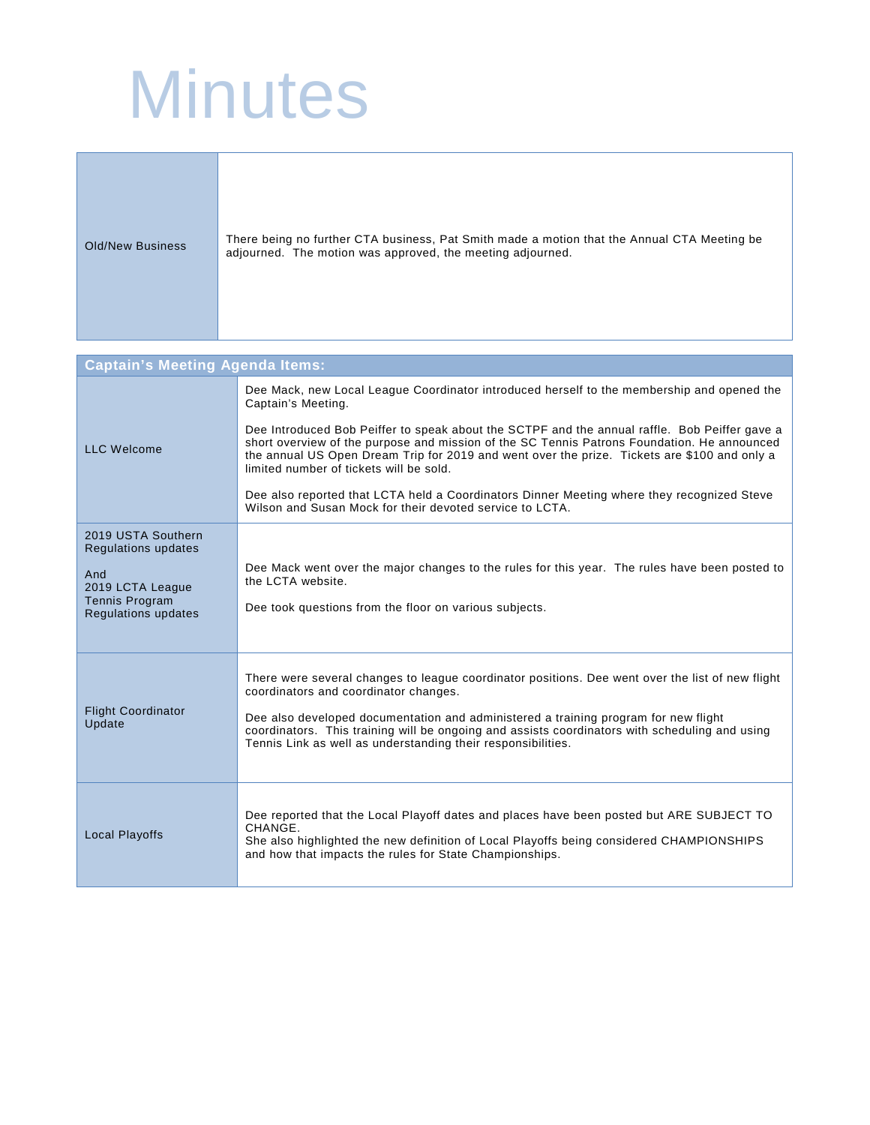## **Minutes**

| Old/New Business | There being no further CTA business, Pat Smith made a motion that the Annual CTA Meeting be<br>adjourned. The motion was approved, the meeting adjourned. |
|------------------|-----------------------------------------------------------------------------------------------------------------------------------------------------------|
|------------------|-----------------------------------------------------------------------------------------------------------------------------------------------------------|

| <b>Captain's Meeting Agenda Items:</b>                                  |                                                                                                                                                                                                                                                                                                                                                                                                    |  |
|-------------------------------------------------------------------------|----------------------------------------------------------------------------------------------------------------------------------------------------------------------------------------------------------------------------------------------------------------------------------------------------------------------------------------------------------------------------------------------------|--|
| <b>LLC Welcome</b>                                                      | Dee Mack, new Local League Coordinator introduced herself to the membership and opened the<br>Captain's Meeting.                                                                                                                                                                                                                                                                                   |  |
|                                                                         | Dee Introduced Bob Peiffer to speak about the SCTPF and the annual raffle. Bob Peiffer gave a<br>short overview of the purpose and mission of the SC Tennis Patrons Foundation. He announced<br>the annual US Open Dream Trip for 2019 and went over the prize. Tickets are \$100 and only a<br>limited number of tickets will be sold.                                                            |  |
|                                                                         | Dee also reported that LCTA held a Coordinators Dinner Meeting where they recognized Steve<br>Wilson and Susan Mock for their devoted service to LCTA.                                                                                                                                                                                                                                             |  |
| 2019 USTA Southern<br><b>Regulations updates</b>                        |                                                                                                                                                                                                                                                                                                                                                                                                    |  |
| And<br>2019 LCTA League<br>Tennis Program<br><b>Regulations updates</b> | Dee Mack went over the major changes to the rules for this year. The rules have been posted to<br>the LCTA website.<br>Dee took questions from the floor on various subjects.                                                                                                                                                                                                                      |  |
| <b>Flight Coordinator</b><br>Update                                     | There were several changes to league coordinator positions. Dee went over the list of new flight<br>coordinators and coordinator changes.<br>Dee also developed documentation and administered a training program for new flight<br>coordinators. This training will be ongoing and assists coordinators with scheduling and using<br>Tennis Link as well as understanding their responsibilities. |  |
| <b>Local Playoffs</b>                                                   | Dee reported that the Local Playoff dates and places have been posted but ARE SUBJECT TO<br>CHANGE.<br>She also highlighted the new definition of Local Playoffs being considered CHAMPIONSHIPS<br>and how that impacts the rules for State Championships.                                                                                                                                         |  |